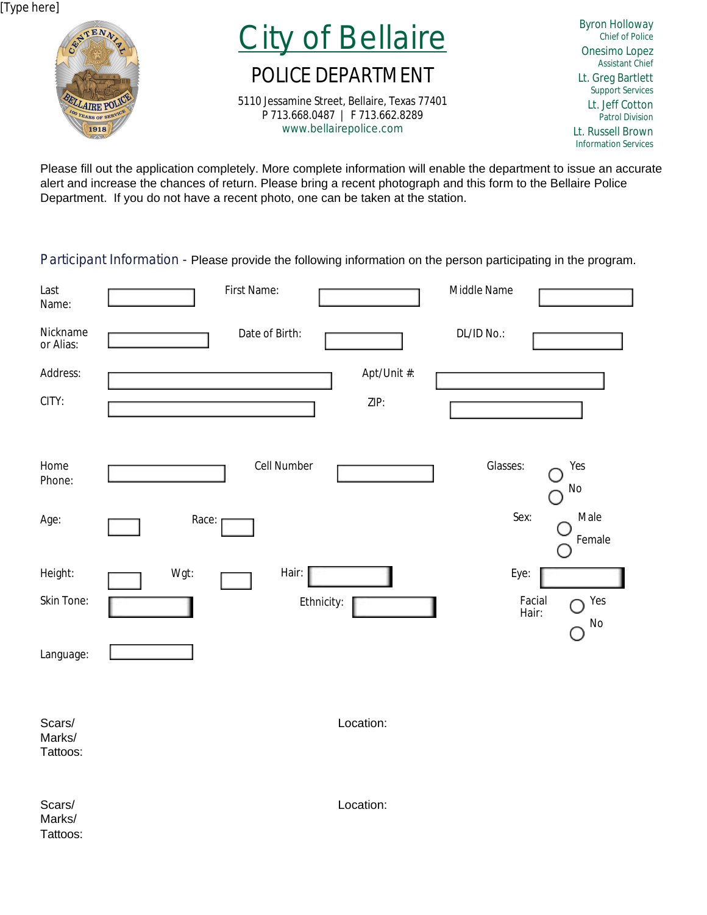[Type here]



City of Bellaire

## POLICE DEPARTMENT

5110 Jessamine Street, Bellaire, Texas 77401 P 713.668.0487 | F 713.662.8289 www.bellairepolice.com

Byron Holloway Chief of Police Onesimo Lopez Assistant Chief Lt. Greg Bartlett Support Services Lt. Jeff Cotton Patrol Division Lt. Russell Brown Information Services

Please fill out the application completely. More complete information will enable the department to issue an accurate alert and increase the chances of return. Please bring a recent photograph and this form to the Bellaire Police Department. If you do not have a recent photo, one can be taken at the station.

Participant Information - Please provide the following information on the person participating in the program.

| Last<br>Name:                | First Name:         | Middle Name                  |
|------------------------------|---------------------|------------------------------|
| Nickname<br>or Alias:        | Date of Birth:      | DL/ID No.:                   |
| Address:<br>CITY:            | Apt/Unit #:<br>ZIP: |                              |
|                              |                     |                              |
| Home<br>Phone:               | Cell Number         | Glasses:<br>Yes<br>No        |
| Age:                         | Race:               | Sex:<br>Male<br>Female       |
| Height:                      | Wgt:<br>Hair:       | Eye:                         |
| Skin Tone:                   | Ethnicity:          | Yes<br>Facial<br>Hair:<br>No |
| Language:                    |                     |                              |
| Scars/<br>Marks/<br>Tattoos: | Location:           |                              |
| Scars/<br>Marks/<br>Tattoos: | Location:           |                              |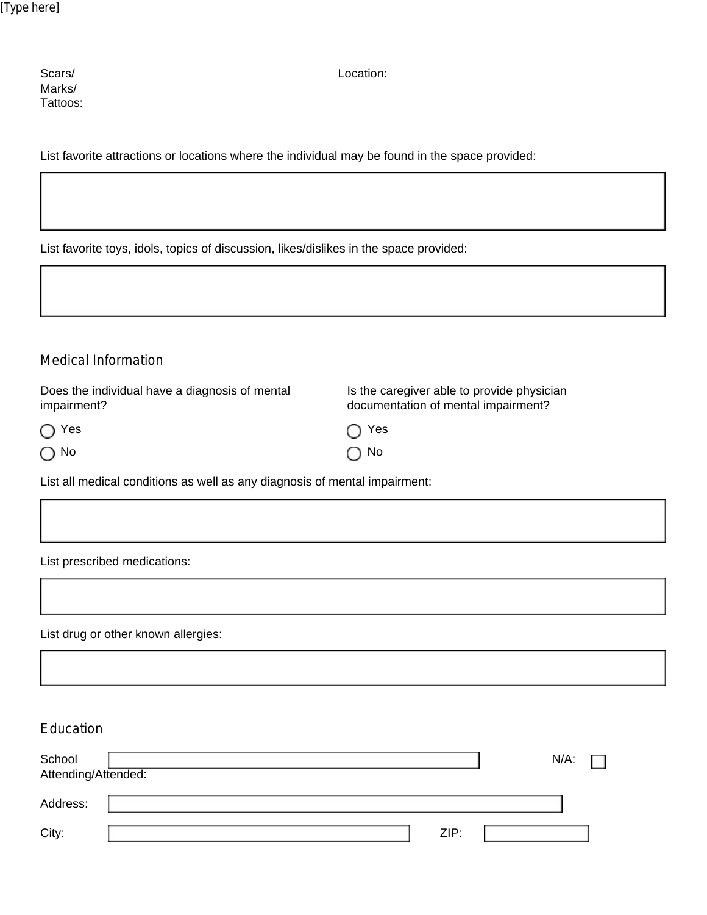| Scars/   |
|----------|
| Marks/   |
| Tattoos: |

Location:

List favorite attractions or locations where the individual may be found in the space provided:

List favorite toys, idols, topics of discussion, likes/dislikes in the space provided:

| Medical Information                                                        |                                                                                   |
|----------------------------------------------------------------------------|-----------------------------------------------------------------------------------|
| Does the individual have a diagnosis of mental<br>impairment?              | Is the caregiver able to provide physician<br>documentation of mental impairment? |
| Yes<br>O<br>$\bigcirc$ No                                                  | Yes<br>$\cap$ No                                                                  |
| List all medical conditions as well as any diagnosis of mental impairment: |                                                                                   |

List prescribed medications:

List drug or other known allergies:

| Education                     |      |                           |
|-------------------------------|------|---------------------------|
| School<br>Attending/Attended: |      | $N/A$ :<br><b>Talling</b> |
| Address:                      |      |                           |
| City:                         | ZIP: |                           |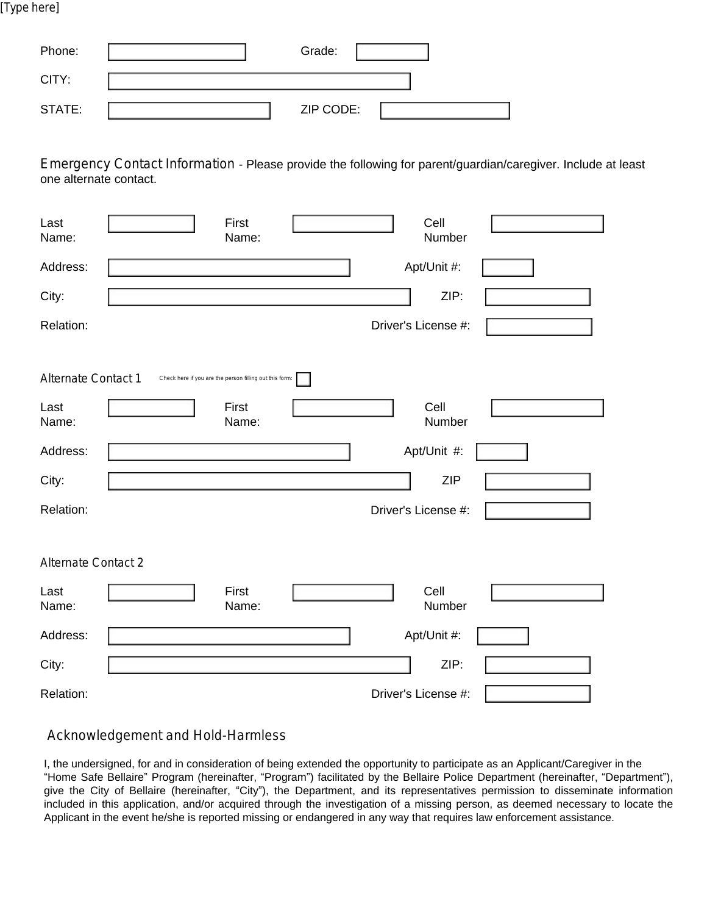[Type here]

| Phone: | Grade:    |  |
|--------|-----------|--|
| CITY:  |           |  |
| STATE: | ZIP CODE: |  |

Emergency Contact Information - Please provide the following for parent/guardian/caregiver. Include at least one alternate contact.

| Last<br>Name:              | First<br>Name:                                          | Cell<br>Number      |
|----------------------------|---------------------------------------------------------|---------------------|
| Address:                   |                                                         | Apt/Unit #:         |
| City:                      |                                                         | ZIP:                |
| Relation:                  |                                                         | Driver's License #: |
| Alternate Contact 1        | Check here if you are the person filling out this form: |                     |
| Last<br>Name:              | First<br>Name:                                          | Cell<br>Number      |
| Address:                   |                                                         | Apt/Unit #:         |
| City:                      |                                                         | <b>ZIP</b>          |
| Relation:                  |                                                         | Driver's License #: |
|                            |                                                         |                     |
| <b>Alternate Contact 2</b> |                                                         |                     |
| Last<br>Name:              | First<br>Name:                                          | Cell<br>Number      |
| Address:                   |                                                         | Apt/Unit #:         |
| City:                      |                                                         | ZIP:                |
| Relation:                  |                                                         | Driver's License #: |

Acknowledgement and Hold-Harmless

I, the undersigned, for and in consideration of being extended the opportunity to participate as an Applicant/Caregiver in the "Home Safe Bellaire" Program (hereinafter, "Program") facilitated by the Bellaire Police Department (hereinafter, "Department"), give the City of Bellaire (hereinafter, "City"), the Department, and its representatives permission to disseminate information included in this application, and/or acquired through the investigation of a missing person, as deemed necessary to locate the Applicant in the event he/she is reported missing or endangered in any way that requires law enforcement assistance.